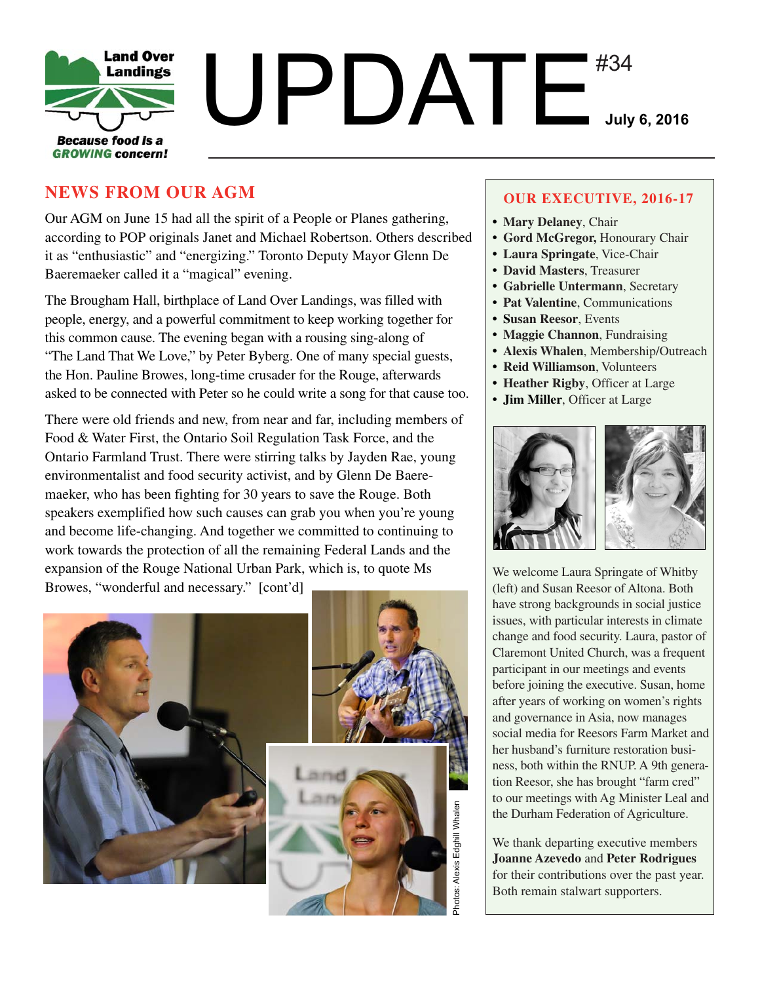

# **NEWS FROM OUR AGM**

Our AGM on June 15 had all the spirit of a People or Planes gathering, according to POP originals Janet and Michael Robertson. Others described it as "enthusiastic" and "energizing." Toronto Deputy Mayor Glenn De Baeremaeker called it a "magical" evening.

The Brougham Hall, birthplace of Land Over Landings, was filled with people, energy, and a powerful commitment to keep working together for this common cause. The evening began with a rousing sing-along of "The Land That We Love," by Peter Byberg. One of many special guests, the Hon. Pauline Browes, long-time crusader for the Rouge, afterwards asked to be connected with Peter so he could write a song for that cause too.

There were old friends and new, from near and far, including members of Food & Water First, the Ontario Soil Regulation Task Force, and the Ontario Farmland Trust. There were stirring talks by Jayden Rae, young environmentalist and food security activist, and by Glenn De Baeremaeker, who has been fighting for 30 years to save the Rouge. Both speakers exemplified how such causes can grab you when you're young and become life-changing. And together we committed to continuing to work towards the protection of all the remaining Federal Lands and the expansion of the Rouge National Urban Park, which is, to quote Ms Browes, "wonderful and necessary." [cont'd]



#### **OUR EXECUTIVE, 2016-17**

- **Mary Delaney**, Chair
- **Gord McGregor,** Honourary Chair
- **Laura Springate**, Vice-Chair
- **David Masters**, Treasurer
- **Gabrielle Untermann**, Secretary
- **Pat Valentine**, Communications
- **Susan Reesor**, Events
- **Maggie Channon**, Fundraising
- **Alexis Whalen**, Membership/Outreach
- **Reid Williamson**, Volunteers
- **Heather Rigby**, Officer at Large
- **Jim Miller**, Officer at Large



We welcome Laura Springate of Whitby (left) and Susan Reesor of Altona. Both have strong backgrounds in social justice issues, with particular interests in climate change and food security. Laura, pastor of Claremont United Church, was a frequent participant in our meetings and events before joining the executive. Susan, home after years of working on women's rights and governance in Asia, now manages social media for Reesors Farm Market and her husband's furniture restoration business, both within the RNUP. A 9th generation Reesor, she has brought "farm cred" to our meetings with Ag Minister Leal and the Durham Federation of Agriculture.

We thank departing executive members **Joanne Azevedo** and **Peter Rodrigues** for their contributions over the past year. Both remain stalwart supporters.